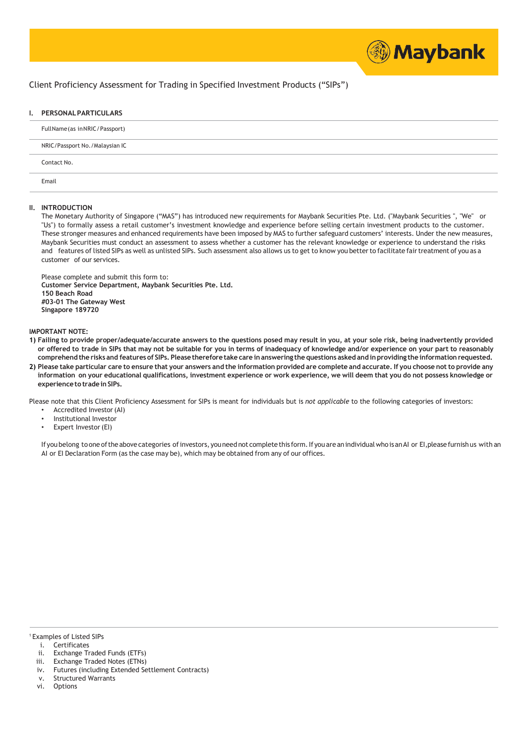

## Client Proficiency Assessment for Trading in Specified Investment Products ("SIPs")

## **I. PERSONALPARTICULARS**

| Full Name (as in NRIC / Passport) |
|-----------------------------------|
| NRIC/Passport No./Malaysian IC    |
| Contact No.                       |
| Email                             |

## **II. INTRODUCTION**

The Monetary Authority of Singapore ("MAS") has introduced new requirements for Maybank Securities Pte. Ltd. ("Maybank Securities ", "We" or "Us") to formally assess a retail customer's investment knowledge and experience before selling certain investment products to the customer. These stronger measures and enhanced requirements have been imposed by MAS to further safeguard customers' interests. Under the new measures, Maybank Securities must conduct an assessment to assess whether a customer has the relevant knowledge or experience to understand the risks and features of listed SIPs as well as unlisted SIPs. Such assessment also allows us to get to know you better to facilitate fair treatment of you as a customer of our services.

Please complete and submit this form to: **Customer Service Department, Maybank Securities Pte. Ltd. 150 Beach Road #03-01 The Gateway West Singapore 189720**

## **IMPORTANT NOTE:**

- 1) Failing to provide proper/adequate/accurate answers to the questions posed may result in you, at your sole risk, being inadvertently provided or offered to trade in SIPs that may not be suitable for you in terms of inadequacy of knowledge and/or experience on your part to reasonably comprehend the risks and features of SIPs. Please therefore take care in answering the questions asked and in providing the information requested.
- 2) Please take particular care to ensure that your answers and the information provided are complete and accurate. If you choose not to provide any information on your educational qualifications, investment experience or work experience, we will deem that you do not possess knowledge or **experienceto tradeinSIPs.**

Please note that this Client Proficiency Assessment for SIPs is meant for individuals but is *not applicable* to the following categories of investors:

- Accredited Investor (AI)
- Institutional Investor
- Expert Investor (EI)

If you belong to one of the above categories of investors, you need not complete this form. If you are an individual who is an AI or EI, please furnish us with an AI or EI Declaration Form (as the case may be), which may be obtained from any of our offices.

<sup>1</sup> Examples of Listed SIPs

- i. Certificates
- ii. Exchange Traded Funds (ETFs)
- iii. Exchange Traded Notes (ETNs)
- iv. Futures (including Extended Settlement Contracts)
- v. Structured Warrants
- vi. Options